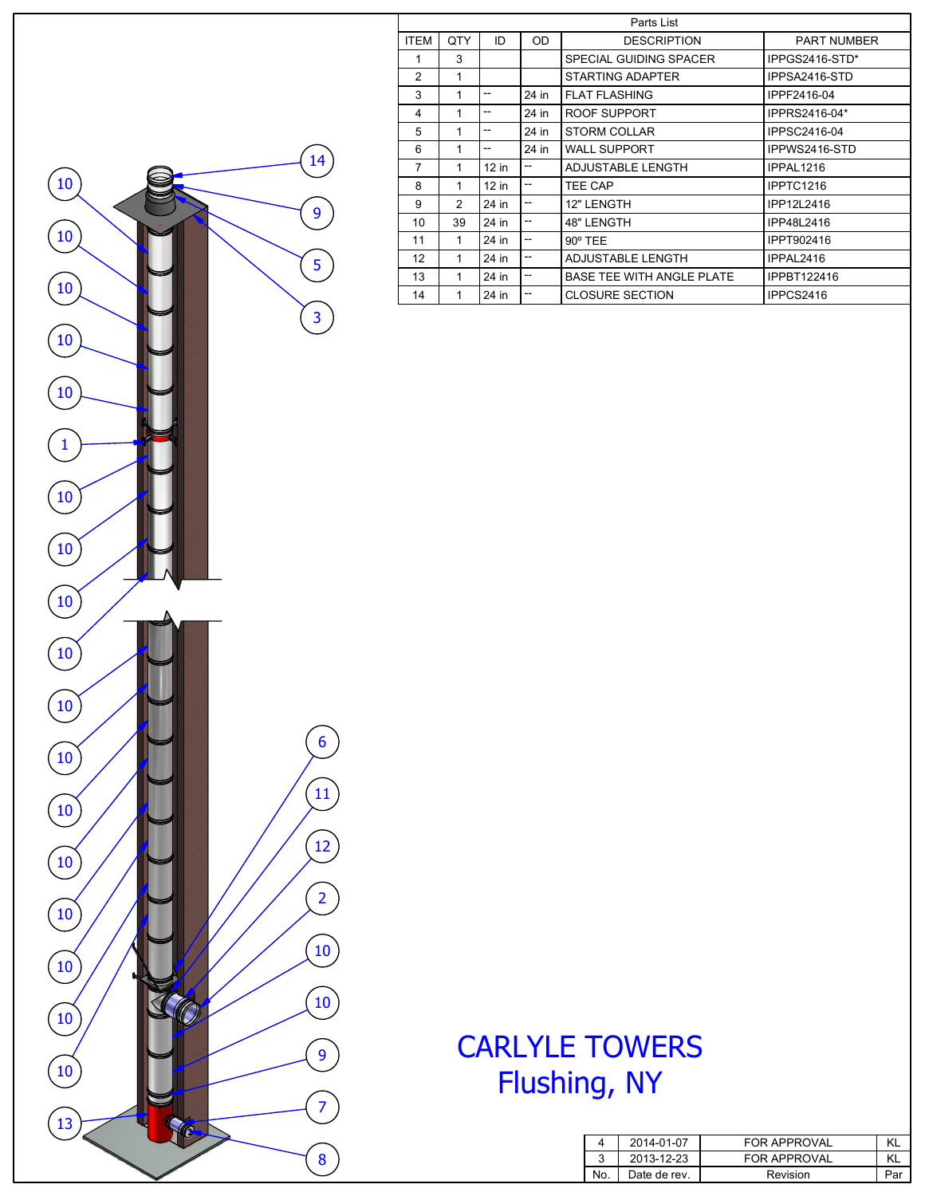| Parts List     |               |         |       |                                  |                    |  |  |
|----------------|---------------|---------|-------|----------------------------------|--------------------|--|--|
| <b>ITEM</b>    | QTY           | ID      | OD    | <b>DESCRIPTION</b>               | <b>PART NUMBER</b> |  |  |
| 1              | 3             |         |       | SPECIAL GUIDING SPACER           | IPPGS2416-STD*     |  |  |
| 2              | 1             |         |       | <b>STARTING ADAPTER</b>          | IPPSA2416-STD      |  |  |
| 3              | 1             | --      | 24 in | <b>FLAT FLASHING</b>             | IPPF2416-04        |  |  |
| 4              | 1             | --      | 24 in | ROOF SUPPORT                     | IPPRS2416-04*      |  |  |
| 5              | 1             | --      | 24 in | <b>STORM COLLAR</b>              | IPPSC2416-04       |  |  |
| 6              | 1             | --      | 24 in | WALL SUPPORT                     | IPPWS2416-STD      |  |  |
| $\overline{7}$ | 1             | $12$ in | --    | <b>ADJUSTABLE LENGTH</b>         | IPPAL1216          |  |  |
| 8              | 1             | $12$ in | --    | TEE CAP                          | IPPTC1216          |  |  |
| 9              | $\mathcal{P}$ | 24 in   | --    | 12" LENGTH                       | IPP12L2416         |  |  |
| 10             | 39            | 24 in   | --    | 48" LENGTH                       | IPP48L2416         |  |  |
| 11             | 1             | 24 in   | --    | $90^\circ$ TEE                   | <b>IPPT902416</b>  |  |  |
| 12             | 1             | 24 in   | --    | ADJUSTABLE LENGTH                | IPPAL2416          |  |  |
| 13             | 1             | 24 in   | --    | <b>BASE TEE WITH ANGLE PLATE</b> | <b>IPPBT122416</b> |  |  |
| 14             | 1             | 24 in   | --    | <b>CLOSURE SECTION</b>           | IPPCS2416          |  |  |



|     | 2014-01-07   | <b>FOR APPROVAL</b> | ΚL  |
|-----|--------------|---------------------|-----|
|     | 2013-12-23   | <b>FOR APPROVAL</b> |     |
| No. | Date de rev. | Revision            | Paı |

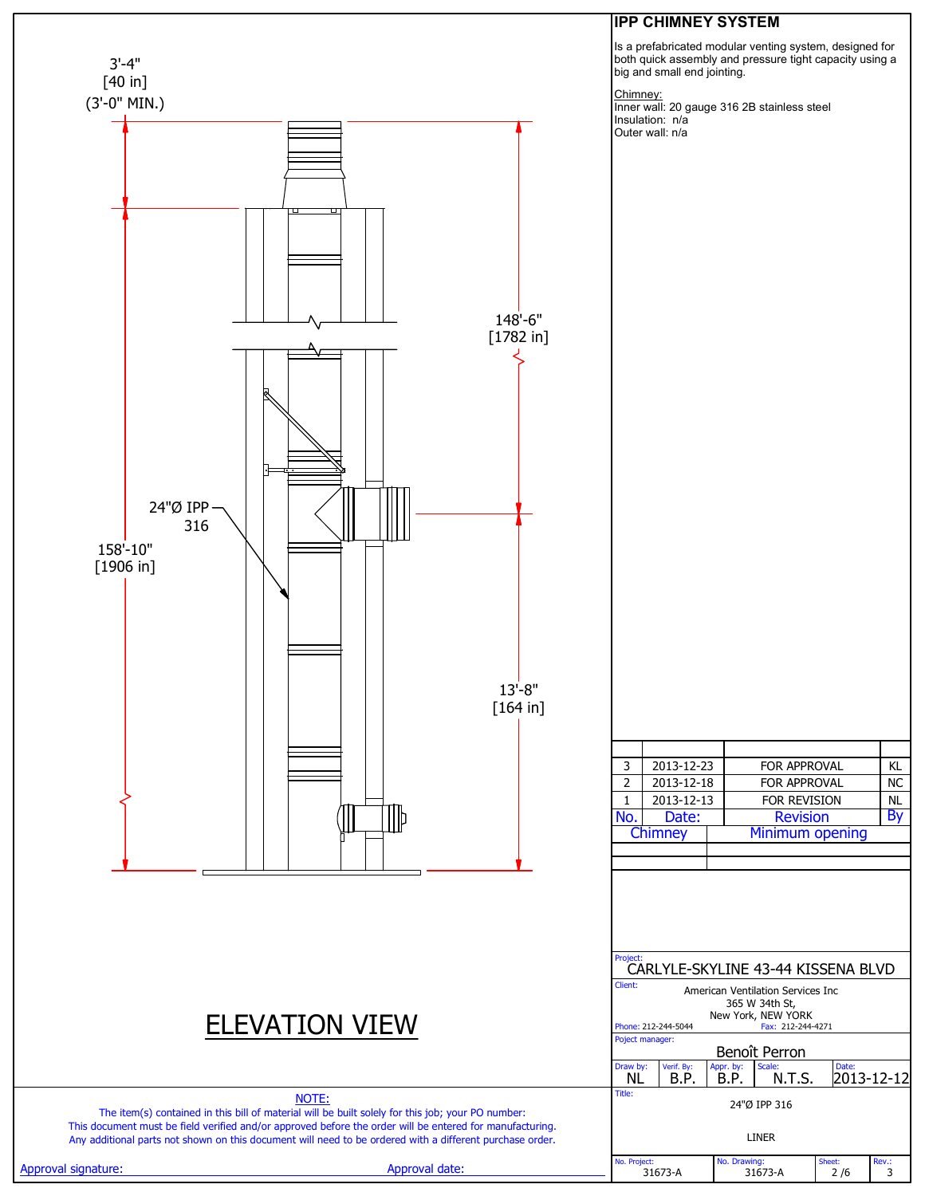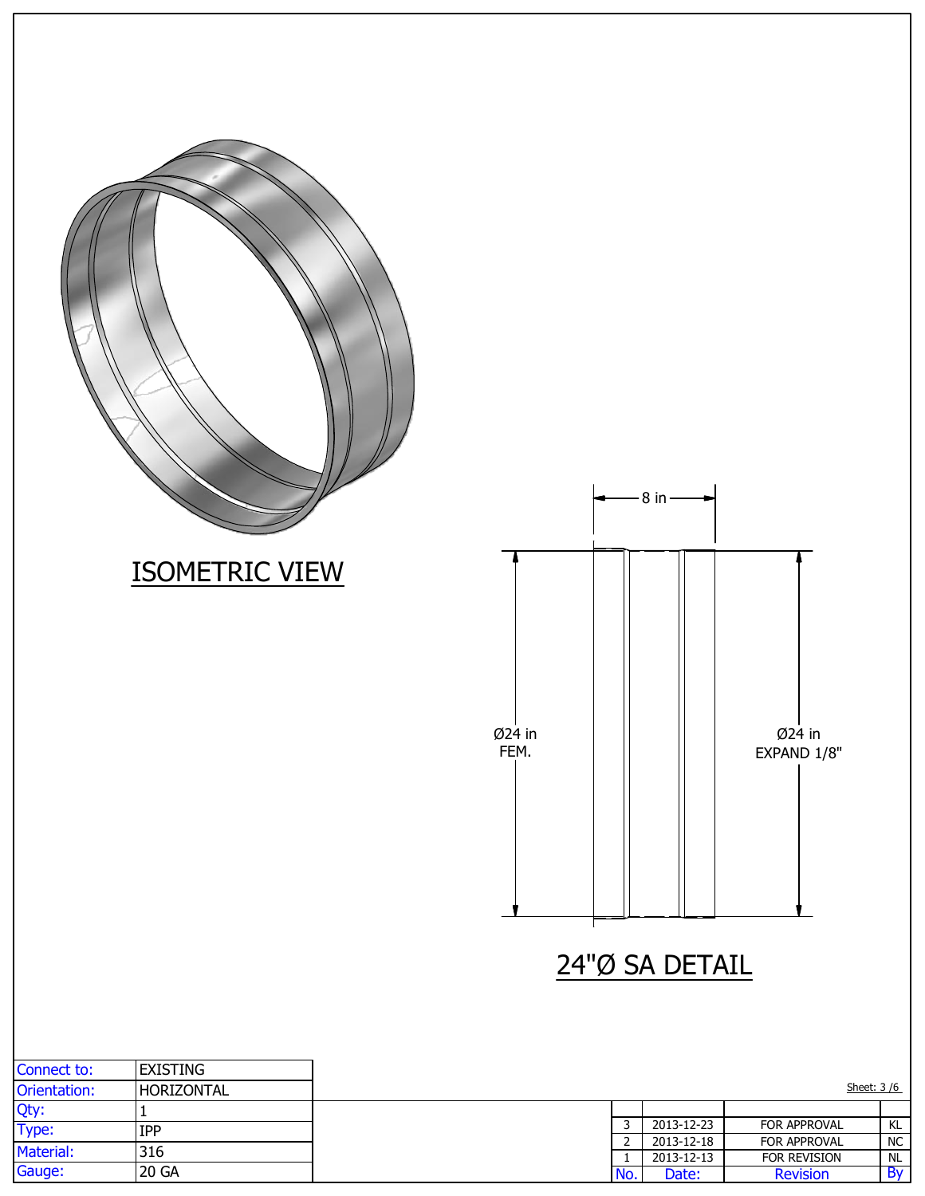|                               |                       |                |                               | $8 in -$                             |                              |                 |
|-------------------------------|-----------------------|----------------|-------------------------------|--------------------------------------|------------------------------|-----------------|
|                               | <b>ISOMETRIC VIEW</b> |                |                               |                                      |                              |                 |
|                               |                       | Ø24 in<br>FEM. |                               |                                      | Ø24 in<br>EXPAND 1/8"        |                 |
|                               |                       |                |                               | 24"Ø SA DETAIL                       |                              |                 |
| Connect to:                   | <b>EXISTING</b>       |                |                               |                                      |                              |                 |
|                               | HORIZONTAL            |                |                               |                                      |                              | Sheet: 3/6      |
| Orientation:<br>Qty:<br>Type: | $\mathbf{1}$          |                |                               |                                      |                              |                 |
|                               | IPP                   |                | $\overline{3}$                | 2013-12-23                           | FOR APPROVAL                 | $\frac{KL}{NC}$ |
| Material:                     | 316                   |                | $\overline{2}$<br>$\mathbf 1$ | $2013 - 12 - 18$<br>$2013 - 12 - 13$ | FOR APPROVAL<br>FOR REVISION | NL              |
| Gauge:                        | $20 \text{ GA}$       |                | No.                           | Date:                                | Revision                     | By              |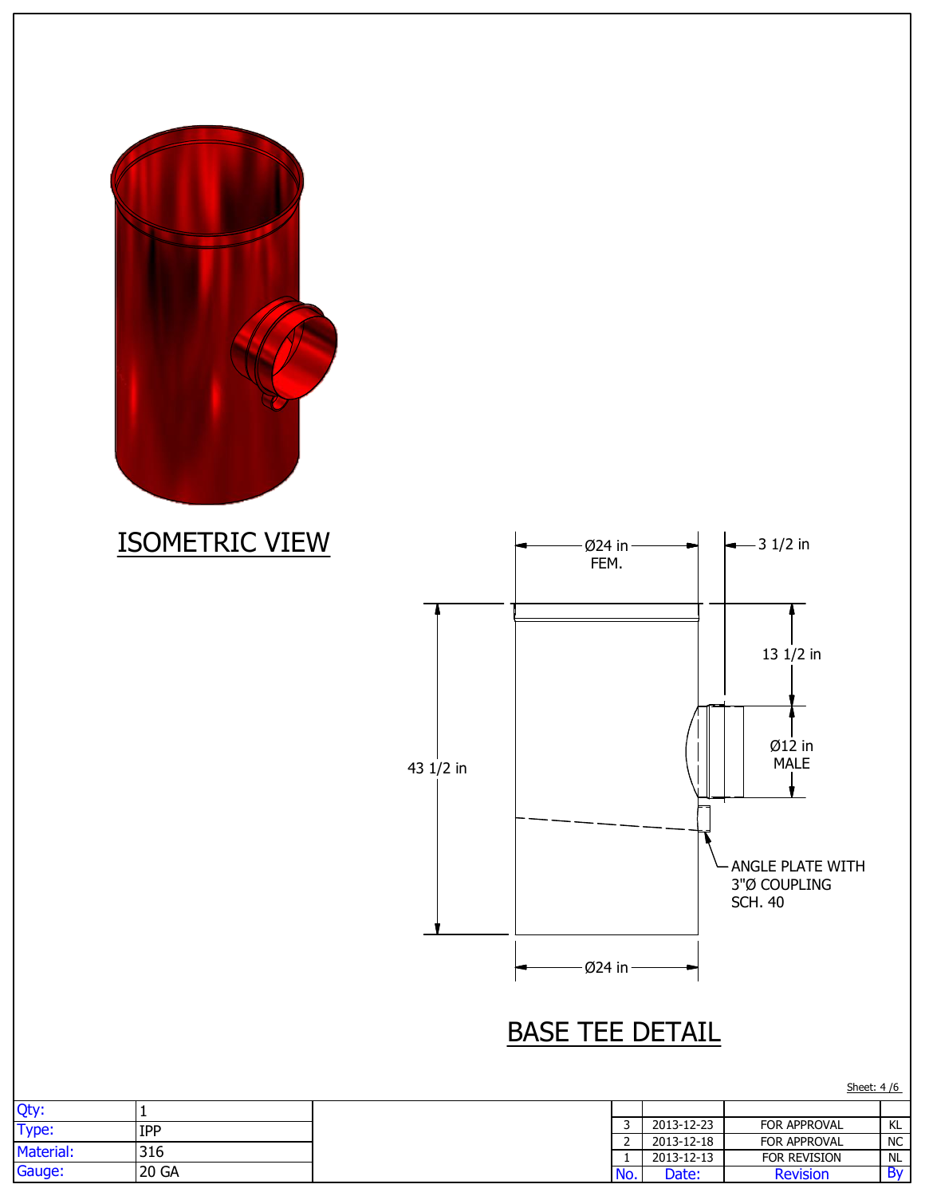



## BASE TEE DETAIL

|           |       |     |            | Sheet: 4/6          |           |
|-----------|-------|-----|------------|---------------------|-----------|
| Qty:      |       |     |            |                     |           |
| Type:     | IPP   |     | 2013-12-23 | FOR APPROVAL        | KL        |
|           |       | -   | 2013-12-18 | FOR APPROVAL        | <b>NC</b> |
| Material: | 316   |     | 2013-12-13 | <b>FOR REVISION</b> | <b>NL</b> |
| Gauge:    | 20 GA | No. | Date:      | <b>Revision</b>     | . Bv      |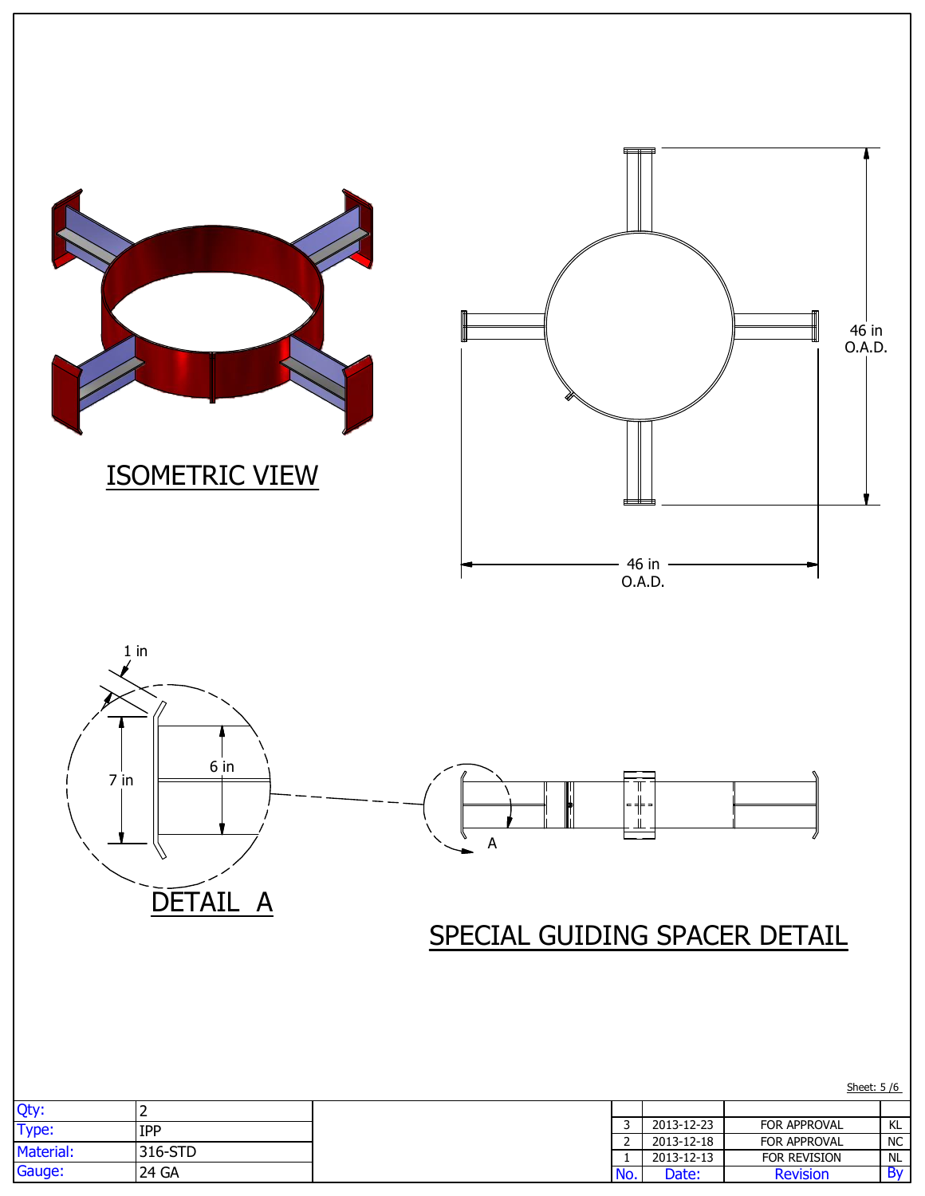

|                                |                                                        | FOR APPROVAL        |
|--------------------------------|--------------------------------------------------------|---------------------|
|                                |                                                        | FOR APPROVAL        |
|                                |                                                        | <b>FOR REVISION</b> |
|                                |                                                        |                     |
| <b>IPP</b><br>316-STD<br>24 GA | 2013-12-23<br>2013-12-18<br>2013-12-13<br>Date:<br>NO. | <b>Revision</b>     |